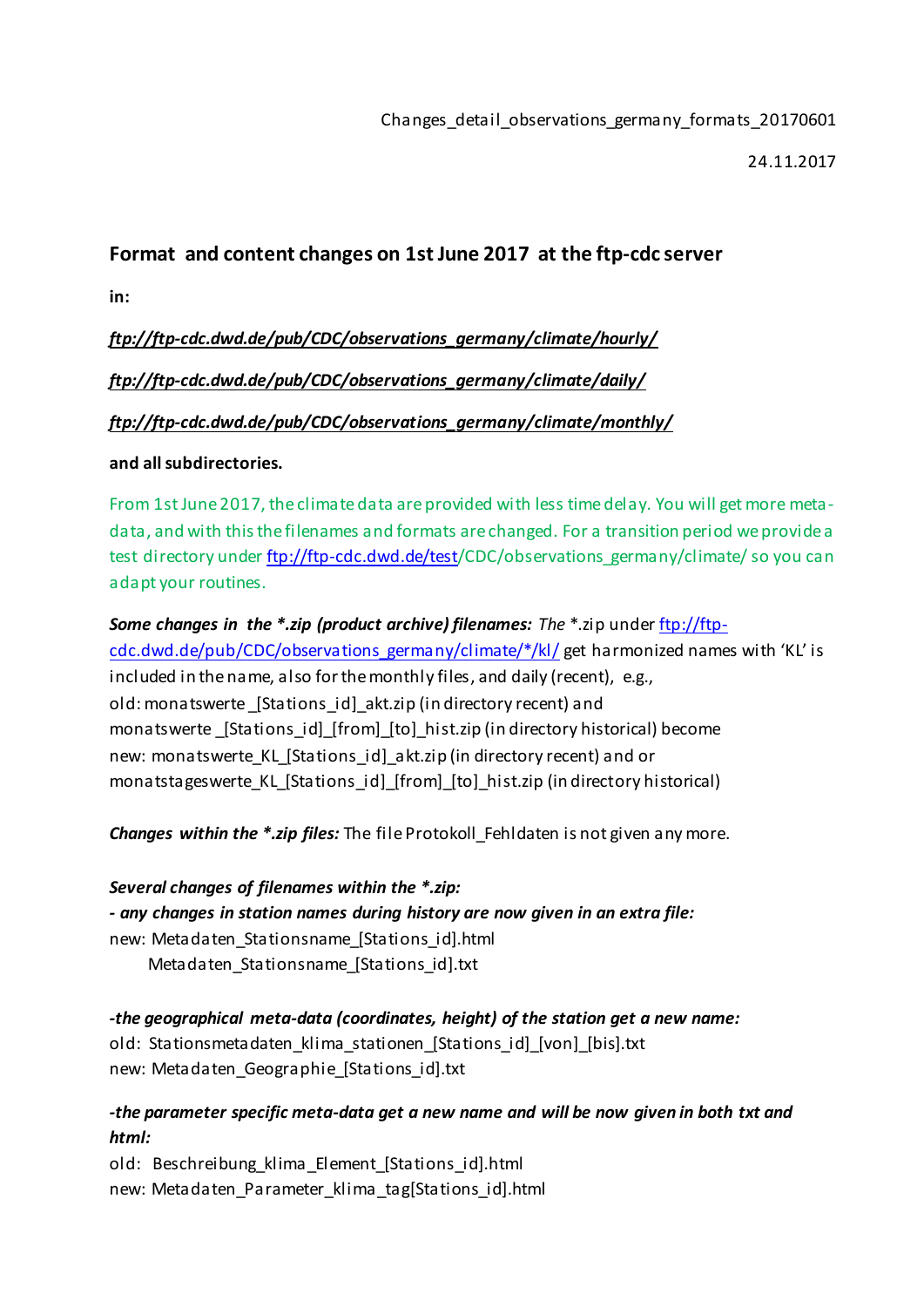24.11.2017

# **Format and content changes on 1st June 2017 at the ftp-cdc server**

**in:**

*ftp://ftp-cdc.dwd.de/pub/CDC/observations\_germany/climate/hourly/*

*[ftp://ftp-cdc.dwd.de/pub/CDC/observations\\_germany/climate/daily/](ftp://ftp-cdc.dwd.de/pub/CDC/observations_germany/climate/daily/)*

*ftp://ftp-cdc.dwd.de/pub/CDC/observations\_germany/climate/monthly/*

### **and all subdirectories.**

From 1st June 2017, the climate data are provided with less time delay. You will get more metadata, and with this the filenames and formats are changed. For a transition period we provide a test directory unde[r ftp://ftp-cdc.dwd.de/test/](ftp://ftp-cdc.dwd.de/test)CDC/observations\_germany/climate/ so you can adapt your routines.

*Some changes in the \*.zip (product archive) filenames: The* \*.zip unde[r ftp://ftp](ftp://ftp-cdc.dwd.de/pub/CDC/observations_germany/climate/*/kl/)[cdc.dwd.de/pub/CDC/observations\\_germany/climate/\\*/kl/](ftp://ftp-cdc.dwd.de/pub/CDC/observations_germany/climate/*/kl/) get harmonized names with 'KL' is included in the name, also for the monthly files, and daily (recent), e.g., old: monatswerte \_[Stations\_id]\_akt.zip (in directory recent) and monatswerte \_[Stations\_id]\_[from]\_[to]\_hist.zip (in directory historical) become new: monatswerte KL [Stations id] akt.zip (in directory recent) and or monatstageswerte\_KL\_[Stations\_id]\_[from]\_[to]\_hist.zip (in directory historical)

*Changes within the \*.zip files:* The file Protokoll\_Fehldaten is not given any more.

*Several changes of filenames within the \*.zip: - any changes in station names during history are now given in an extra file:* new: Metadaten\_Stationsname\_[Stations\_id].html Metadaten\_Stationsname\_[Stations\_id].txt

*-the geographical meta-data (coordinates, height) of the station get a new name:* old: Stationsmetadaten\_klima\_stationen\_[Stations\_id]\_[von]\_[bis].txt new: Metadaten Geographie [Stations id].txt

## *-the parameter specific meta-data get a new name and will be now given in both txt and html:*

old: Beschreibung klima Element [Stations id].html new: Metadaten Parameter klima tag[Stations id].html